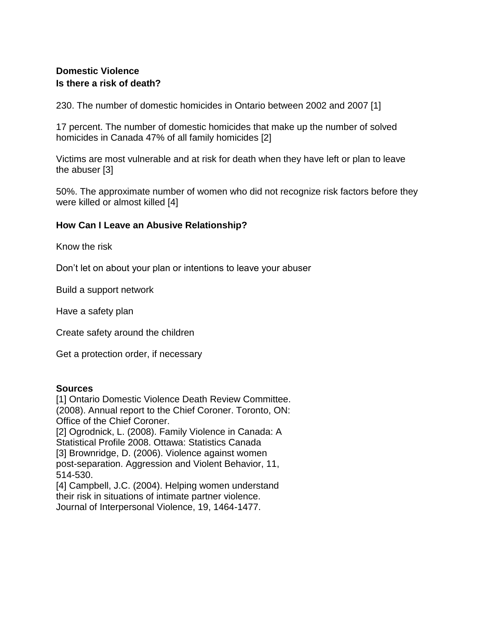## **Domestic Violence Is there a risk of death?**

230. The number of domestic homicides in Ontario between 2002 and 2007 [1]

17 percent. The number of domestic homicides that make up the number of solved homicides in Canada 47% of all family homicides [2]

Victims are most vulnerable and at risk for death when they have left or plan to leave the abuser [3]

50%. The approximate number of women who did not recognize risk factors before they were killed or almost killed [4]

## **How Can I Leave an Abusive Relationship?**

Know the risk

Don't let on about your plan or intentions to leave your abuser

Build a support network

Have a safety plan

Create safety around the children

Get a protection order, if necessary

## **Sources**

[1] Ontario Domestic Violence Death Review Committee. (2008). Annual report to the Chief Coroner. Toronto, ON: Office of the Chief Coroner.

[2] Ogrodnick, L. (2008). Family Violence in Canada: A Statistical Profile 2008. Ottawa: Statistics Canada [3] Brownridge, D. (2006). Violence against women post-separation. Aggression and Violent Behavior, 11, 514-530.

[4] Campbell, J.C. (2004). Helping women understand their risk in situations of intimate partner violence. Journal of Interpersonal Violence, 19, 1464-1477.